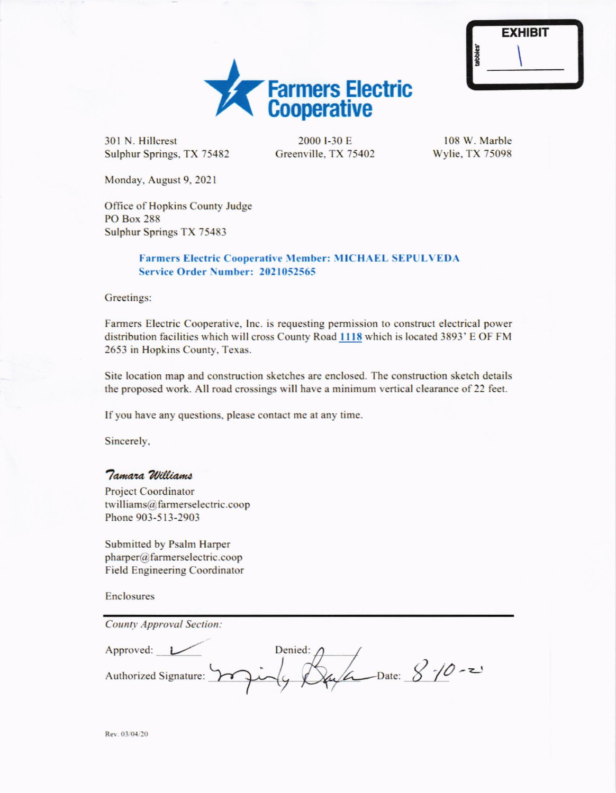|                      | <b>EXHIBIT</b> |  |
|----------------------|----------------|--|
| tabbies <sup>*</sup> |                |  |
|                      |                |  |



301 N. Hillcrest Sulphur Springs, TX 75482

2000 **I-30 E** Greenville, TX 75402

108 W. Marble Wylie. TX 75098

Monday. August 9. 2021

Office of Hopkins County Judge PO Box 288 Sulphur Springs TX 75483

## Farmers Electric Cooperative Member: MICHAEL SEPULVEDA Service Order Number: 2021052565

Greetings:

Farmers Electric Cooperative. Inc. is requesting permission to construct electrical power distribution facilities which will cross County Road 1118 which is located 3893' E OF FM 2653 in Hopkins County. Texas.

Site location map and construction sketches are enclosed. The construction sketch details the proposed work. All road crossings will have a minimum vertical clearance of22 feet.

If you have any questions, please contact me at any time.

Sincerely,

## Tamara Williams

Project Coordinator twilliams@farmerselectric.coop Phone 903-5 l3-2903

Submitted by Psalm Harper pharper@farmerselectric.coop Field Engineering Coordinator

Enclosures

| <b>County Approval Section:</b> |                                                  |
|---------------------------------|--------------------------------------------------|
| Approved:                       | Denied: $\bigwedge$                              |
|                                 | Authorized Signature: 2004 ( Du La Date: 8-10-2) |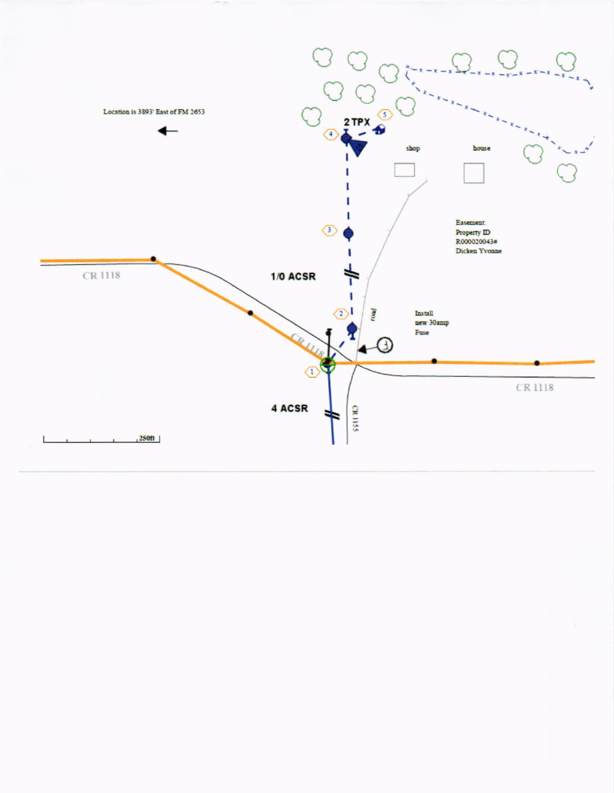